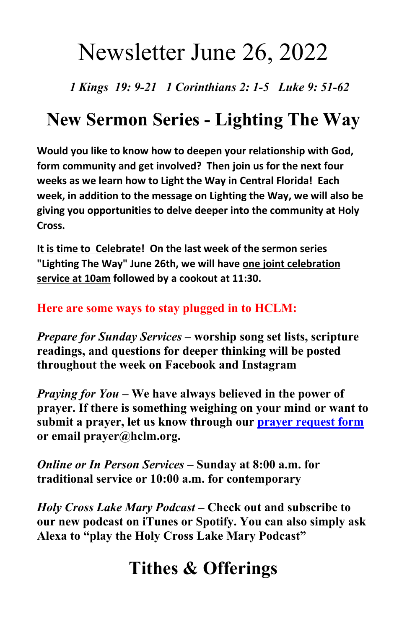# Newsletter June 26, 2022

 *1 Kings 19: 9-21 1 Corinthians 2: 1-5 Luke 9: 51-62* 

# **New Sermon Series - Lighting The Way**

**Would you like to know how to deepen your relationship with God, form community and get involved? Then join us for the next four weeks as we learn how to Light the Way in Central Florida! Each week, in addition to the message on Lighting the Way, we will also be giving you opportunities to delve deeper into the community at Holy Cross.**

**It is time to Celebrate! On the last week of the sermon series "Lighting The Way" June 26th, we will have one joint celebration service at 10am followed by a cookout at 11:30.**

### **Here are some ways to stay plugged in to HCLM:**

*Prepare for Sunday Services* **– worship song set lists, scripture readings, and questions for deeper thinking will be posted throughout the week on Facebook and Instagram**

*Praying for You* **– We have always believed in the power of prayer. If there is something weighing on your mind or want to submit a prayer, let us know through our [prayer request form](https://hclm.org/prayer/) or email prayer@hclm.org.**

*Online or In Person Services* **– Sunday at 8:00 a.m. for traditional service or 10:00 a.m. for contemporary**

*Holy Cross Lake Mary Podcast* **– Check out and subscribe to our new podcast on iTunes or Spotify. You can also simply ask Alexa to "play the Holy Cross Lake Mary Podcast"**

## **Tithes & Offerings**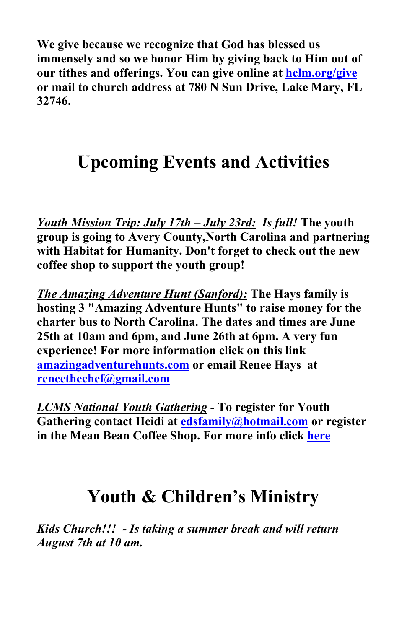**We give because we recognize that God has blessed us immensely and so we honor Him by giving back to Him out of our tithes and offerings. You can give online at [hclm.org/give](https://hclm.org/give) or mail to church address at 780 N Sun Drive, Lake Mary, FL 32746.**

### **Upcoming Events and Activities**

*Youth Mission Trip: July 17th – July 23rd: Is full!* **The youth group is going to Avery County,North Carolina and partnering with Habitat for Humanity. Don't forget to check out the new coffee shop to support the youth group!**

*The Amazing Adventure Hunt (Sanford):* **The Hays family is hosting 3 "Amazing Adventure Hunts" to raise money for the charter bus to North Carolina. The dates and times are June 25th at 10am and 6pm, and June 26th at 6pm. A very fun experience! For more information click on this link [amazingadventurehunts.com](https://amazingadventurehunts.com/) or email Renee Hays at [reneethechef@gmail.com](mailto:reneethechef@gmail.com)**

*LCMS National Youth Gathering -* **To register for Youth Gathering contact Heidi at [edsfamily@hotmail.com](mailto:edsfamily@hotmail.com) or register in the Mean Bean Coffee Shop. For more info click [here](https://lcmsgathering.com/)**

### **Youth & Children's Ministry**

*Kids Church!!! - Is taking a summer break and will return August 7th at 10 am.*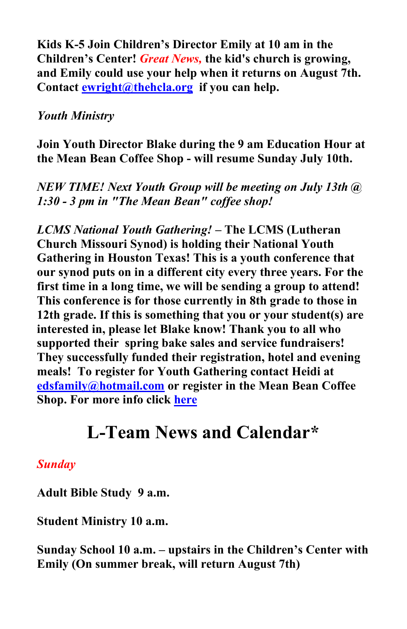**Kids K-5 Join Children's Director Emily at 10 am in the Children's Center!** *Great News,* **the kid's church is growing, and Emily could use your help when it returns on August 7th. Contact [ewright@thehcla.org](mailto:ewright@thehcla.org) if you can help.**

### *Youth Ministry*

**Join Youth Director Blake during the 9 am Education Hour at the Mean Bean Coffee Shop - will resume Sunday July 10th.**

*NEW TIME! Next Youth Group will be meeting on July 13th @ 1:30 - 3 pm in "The Mean Bean" coffee shop!*

*LCMS National Youth Gathering!* **– The LCMS (Lutheran Church Missouri Synod) is holding their National Youth Gathering in Houston Texas! This is a youth conference that our synod puts on in a different city every three years. For the first time in a long time, we will be sending a group to attend! This conference is for those currently in 8th grade to those in 12th grade. If this is something that you or your student(s) are interested in, please let Blake know! Thank you to all who supported their spring bake sales and service fundraisers! They successfully funded their registration, hotel and evening meals! To register for Youth Gathering contact Heidi at [edsfamily@hotmail.com](mailto:edsfamily@hotmail.com) or register in the Mean Bean Coffee Shop. For more info click [here](https://lcmsgathering.com/)** 

### **L-Team News and Calendar\***

### *Sunday*

**Adult Bible Study 9 a.m.**

**Student Ministry 10 a.m.**

**Sunday School 10 a.m. – upstairs in the Children's Center with Emily (On summer break, will return August 7th)**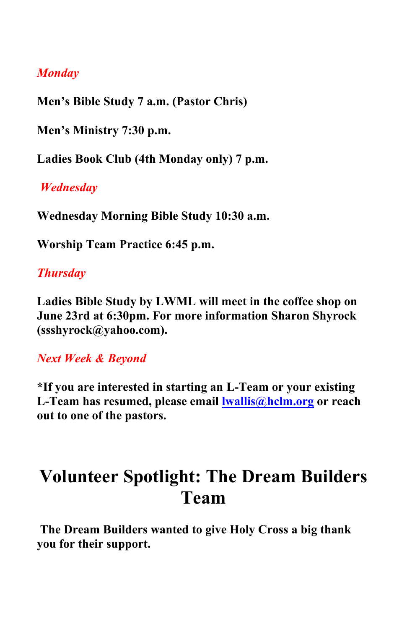### *Monday*

**Men's Bible Study 7 a.m. (Pastor Chris)**

**Men's Ministry 7:30 p.m.**

**Ladies Book Club (4th Monday only) 7 p.m.**

*Wednesday* 

**Wednesday Morning Bible Study 10:30 a.m.** 

**Worship Team Practice 6:45 p.m.**

### *Thursday*

**Ladies Bible Study by LWML will meet in the coffee shop on June 23rd at 6:30pm. For more information Sharon Shyrock (ssshyrock@yahoo.com).** 

### *Next Week & Beyond*

**\*If you are interested in starting an L-Team or your existing L-Team has resumed, please email lwallis@hclm.org or reach out to one of the pastors.** 

### **Volunteer Spotlight: The Dream Builders Team**

 **The Dream Builders wanted to give Holy Cross a big thank you for their support.**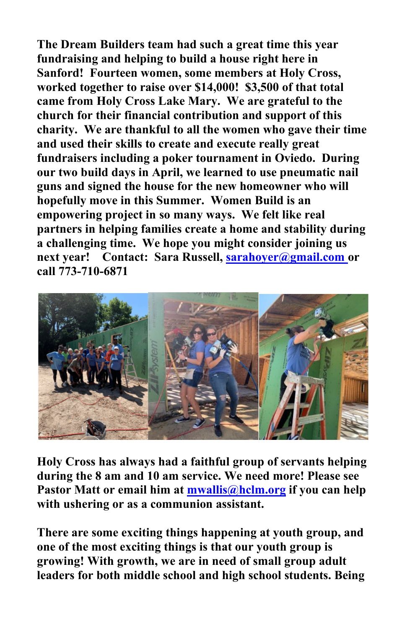**The Dream Builders team had such a great time this year fundraising and helping to build a house right here in Sanford! Fourteen women, some members at Holy Cross, worked together to raise over \$14,000! \$3,500 of that total came from Holy Cross Lake Mary. We are grateful to the church for their financial contribution and support of this charity. We are thankful to all the women who gave their time and used their skills to create and execute really great fundraisers including a poker tournament in Oviedo. During our two build days in April, we learned to use pneumatic nail guns and signed the house for the new homeowner who will hopefully move in this Summer. Women Build is an empowering project in so many ways. We felt like real partners in helping families create a home and stability during a challenging time. We hope you might consider joining us next year! Contact: Sara Russell, [sarahoyer@gmail.com o](mailto:sarahoyer@gmail.com)r call 773-710-6871**



**Holy Cross has always had a faithful group of servants helping during the 8 am and 10 am service. We need more! Please see Pastor Matt or email him at [mwallis@hclm.org](mailto:mwallis@hclm.org) if you can help with ushering or as a communion assistant.**

**There are some exciting things happening at youth group, and one of the most exciting things is that our youth group is growing! With growth, we are in need of small group adult leaders for both middle school and high school students. Being**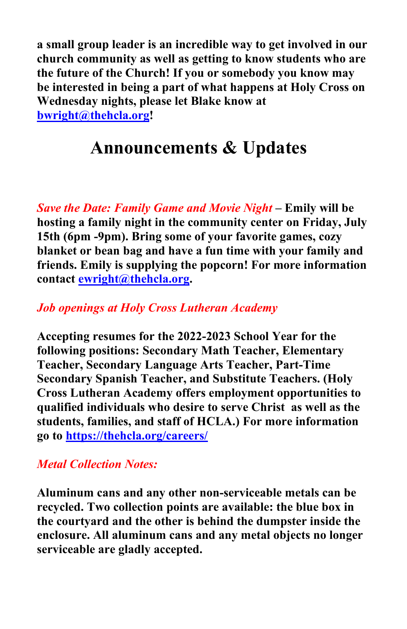**a small group leader is an incredible way to get involved in our church community as well as getting to know students who are the future of the Church! If you or somebody you know may be interested in being a part of what happens at Holy Cross on Wednesday nights, please let Blake know at [bwright@thehcla.org!](mailto:bwright@thehcla.org)**

### **Announcements & Updates**

*Save the Date: Family Game and Movie Night* **– Emily will be hosting a family night in the community center on Friday, July 15th (6pm -9pm). Bring some of your favorite games, cozy blanket or bean bag and have a fun time with your family and friends. Emily is supplying the popcorn! For more information contact [ewright@thehcla.org.](mailto:ewright@thehcla.org)** 

#### *Job openings at Holy Cross Lutheran Academy*

**Accepting resumes for the 2022-2023 School Year for the following positions: Secondary Math Teacher, Elementary Teacher, Secondary Language Arts Teacher, Part-Time Secondary Spanish Teacher, and Substitute Teachers. (Holy Cross Lutheran Academy offers employment opportunities to qualified individuals who desire to serve Christ as well as the students, families, and staff of HCLA.) For more information go to<https://thehcla.org/careers/>**

### *Metal Collection Notes:*

**Aluminum cans and any other non-serviceable metals can be recycled. Two collection points are available: the blue box in the courtyard and the other is behind the dumpster inside the enclosure. All aluminum cans and any metal objects no longer serviceable are gladly accepted.**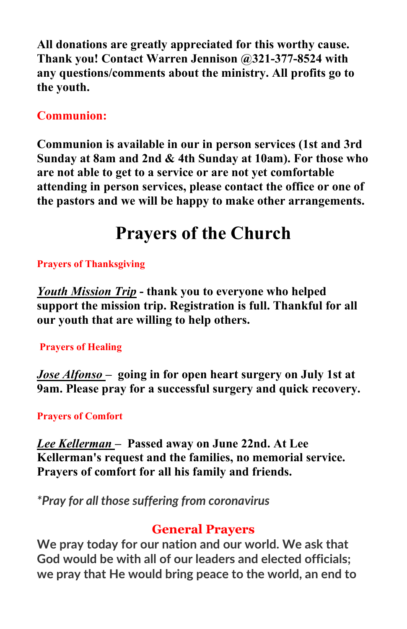**All donations are greatly appreciated for this worthy cause. Thank you! Contact Warren Jennison @321-377-8524 with any questions/comments about the ministry. All profits go to the youth.** 

### **Communion:**

**Communion is available in our in person services (1st and 3rd Sunday at 8am and 2nd & 4th Sunday at 10am). For those who are not able to get to a service or are not yet comfortable attending in person services, please contact the office or one of the pastors and we will be happy to make other arrangements.**

# **Prayers of the Church**

#### **Prayers of Thanksgiving**

*Youth Mission Trip* **- thank you to everyone who helped support the mission trip. Registration is full. Thankful for all our youth that are willing to help others.**

#### **Prayers of Healing**

*Jose Alfonso –* **going in for open heart surgery on July 1st at 9am. Please pray for a successful surgery and quick recovery.**

#### **Prayers of Comfort**

*Lee Kellerman –* **Passed away on June 22nd. At Lee Kellerman's request and the families, no memorial service. Prayers of comfort for all his family and friends.**

*\*Pray for all those suffering from coronavirus* 

### **General Prayers**

**We pray today for our nation and our world. We ask that God would be with all of our leaders and elected officials; we pray that He would bring peace to the world, an end to**